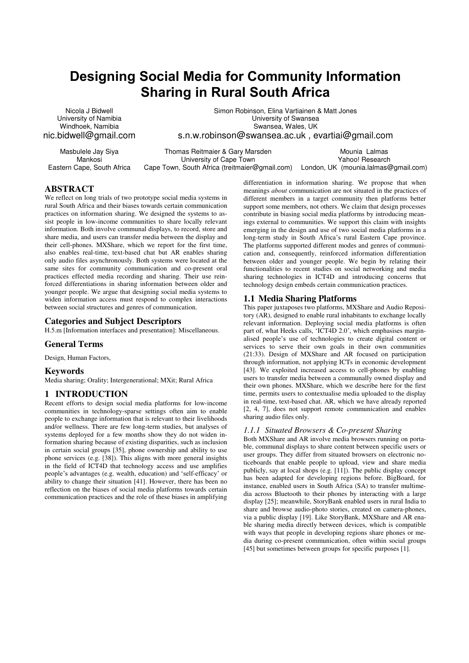# **Designing Social Media for Community Information Sharing in Rural South Africa**

Nicola J Bidwell University of Namibia Windhoek, Namibia nic.bidwell@gmail.com Simon Robinson, Elina Vartiainen & Matt Jones University of Swansea Swansea. Wales. UK

s.n.w.robinson@swansea.ac.uk, evartiai@gmail.com

Masbulele Jay Siya Mankosi Eastern Cape, South Africa

Thomas Reitmaier & Gary Marsden Mounia Lalmas University of Cape Town Yahoo! Research Cape Town, South Africa (treitmaier@gmail.com) London, UK (mounia.lalmas@gmail.com)

# **ABSTRACT**

We reflect on long trials of two prototype social media systems in rural South Africa and their biases towards certain communication practices on information sharing. We designed the systems to assist people in low-income communities to share locally relevant information. Both involve communal displays, to record, store and share media, and users can transfer media between the display and their cell-phones. MXShare, which we report for the first time, also enables real-time, text-based chat but AR enables sharing only audio files asynchronously. Both systems were located at the same sites for community communication and co-present oral practices effected media recording and sharing. Their use reinforced differentiations in sharing information between older and younger people. We argue that designing social media systems to widen information access must respond to complex interactions between social structures and genres of communication.

# **Categories and Subject Descriptors**

H.5.m [Information interfaces and presentation]: Miscellaneous.

#### **General Terms**

Design, Human Factors,

#### **Keywords**

Media sharing; Orality; Intergenerational; MXit; Rural Africa

# 1 INTRODUCTION

Recent efforts to design social media platforms for low-income communities in technology-sparse settings often aim to enable people to exchange information that is relevant to their livelihoods and/or wellness. There are few long-term studies, but analyses of systems deployed for a few months show they do not widen information sharing because of existing disparities, such as inclusion in certain social groups [35], phone ownership and ability to use phone services (e.g. [38]). This aligns with more general insights in the field of ICT4D that technology access and use amplifies people's advantages (e.g. wealth, education) and 'self-efficacy' or ability to change their situation [41]. However, there has been no reflection on the biases of social media platforms towards certain communication practices and the role of these biases in amplifying differentiation in information sharing. We propose that when meanings *about* communication are not situated in the practices of different members in a target community then platforms better support some members, not others. We claim that design processes contribute in biasing social media platforms by introducing meanings external to communities. We support this claim with insights emerging in the design and use of two social media platforms in a long-term study in South Africa's rural Eastern Cape province. The platforms supported different modes and genres of communication and, consequently, reinforced information differentiation between older and younger people. We begin by relating their functionalities to recent studies on social networking and media sharing technologies in ICT4D and introducing concerns that technology design embeds certain communication practices.

## 1.1 Media Sharing Platforms

This paper juxtaposes two platforms, MXShare and Audio Repository (AR), designed to enable rural inhabitants to exchange locally relevant information. Deploying social media platforms is often part of, what Heeks calls, 'ICT4D 2.0', which emphasises marginalised people's use of technologies to create digital content or services to serve their own goals in their own communities (21:33). Design of MXShare and AR focused on participation through information, not applying ICTs in economic development [43]. We exploited increased access to cell-phones by enabling users to transfer media between a communally owned display and their own phones. MXShare, which we describe here for the first time, permits users to contextualise media uploaded to the display in real-time, text-based chat. AR, which we have already reported [2, 4, 7], does not support remote communication and enables sharing audio files only.

#### 1.1.1 Situated Browsers & Co-present Sharing

Both MXShare and AR involve media browsers running on portable, communal displays to share content between specific users or user groups. They differ from situated browsers on electronic noticeboards that enable people to upload, view and share media publicly, say at local shops (e.g. [11]). The public display concept has been adapted for developing regions before. BigBoard, for instance, enabled users in South Africa (SA) to transfer multimedia across Bluetooth to their phones by interacting with a large display [25]; meanwhile, StoryBank enabled users in rural India to share and browse audio-photo stories, created on camera-phones, via a public display [19]. Like StoryBank, MXShare and AR enable sharing media directly between devices, which is compatible with ways that people in developing regions share phones or media during co-present communication, often within social groups [45] but sometimes between groups for specific purposes [1].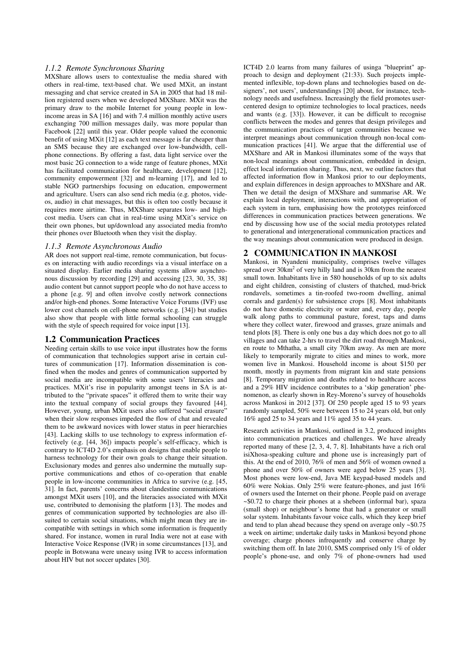#### *1.1.2 Remote Synchronous Sharing*

MXShare allows users to contextualise the media shared with others in real-time, text-based chat. We used MXit, an instant messaging and chat service created in SA in 2005 that had 18 million registered users when we developed MXShare. MXit was the primary draw to the mobile Internet for young people in lowincome areas in SA [16] and with 7.4 million monthly active users exchanging 700 million messages daily, was more popular than Facebook [22] until this year. Older people valued the economic benefit of using MXit [12] as each text message is far cheaper than an SMS because they are exchanged over low-bandwidth, cellphone connections. By offering a fast, data light service over the most basic 2G connection to a wide range of feature phones, MXit has facilitated communication for healthcare, development [12], community empowerment [32] and m-learning [17], and led to stable NGO partnerships focusing on education, empowerment and agriculture. Users can also send rich media (e.g. photos, videos, audio) in chat messages, but this is often too costly because it requires more airtime. Thus, MXShare separates low- and highcost media. Users can chat in real-time using MXit's service on their own phones, but up/download any associated media from/to their phones over Bluetooth when they visit the display.

#### *1.1.3 Remote Asynchronous Audio*

AR does not support real-time, remote communication, but focuses on interacting with audio recordings via a visual interface on a situated display. Earlier media sharing systems allow asynchronous discussion by recording [29] and accessing [23, 30, 35, 38] audio content but cannot support people who do not have access to a phone [e.g. 9] and often involve costly network connections and/or high-end phones. Some Interactive Voice Forums (IVF) use lower cost channels on cell-phone networks (e.g. [34]) but studies also show that people with little formal schooling can struggle with the style of speech required for voice input [13].

#### **1.2 Communication Practices**

Needing certain skills to use voice input illustrates how the forms of communication that technologies support arise in certain cultures of communication [17]. Information dissemination is confined when the modes and genres of communication supported by social media are incompatible with some users' literacies and practices. MXit's rise in popularity amongst teens in SA is attributed to the "private spaces" it offered them to write their way into the textual company of social groups they favoured [44]. However, young, urban MXit users also suffered "social erasure" when their slow responses impeded the flow of chat and revealed them to be awkward novices with lower status in peer hierarchies [43]. Lacking skills to use technology to express information effectively (e.g. [44, 36]) impacts people's self-efficacy, which is contrary to ICT4D 2.0's emphasis on designs that enable people to harness technology for their own goals to change their situation. Exclusionary modes and genres also undermine the mutually supportive communications and ethos of co-operation that enable people in low-income communities in Africa to survive (e.g. [45,  $31$ . In fact, parents' concerns about clandestine communications amongst MXit users [10], and the literacies associated with MXit use, contributed to demonising the platform [13]. The modes and genres of communication supported by technologies are also illsuited to certain social situations, which might mean they are incompatible with settings in which some information is frequently shared. For instance, women in rural India were not at ease with Interactive Voice Response (IVR) in some circumstances [13], and people in Botswana were uneasy using IVR to access information about HIV but not soccer updates [30].

ICT4D 2.0 learns from many failures of usinga "blueprint" approach to design and deployment (21:33). Such projects implemented inflexible, top-down plans and technologies based on designers', not users', understandings [20] about, for instance, technology needs and usefulness. Increasingly the field promotes usercentered design to optimize technologies to local practices, needs and wants (e.g. [33]). However, it can be difficult to recognise conflicts between the modes and genres that design privileges and the communication practices of target communities because we interpret meanings about communication through non-local communication practices [41]. We argue that the differential use of MXShare and AR in Mankosi illuminates some of the ways that non-local meanings about communication, embedded in design, effect local information sharing. Thus, next, we outline factors that affected information flow in Mankosi prior to our deployments, and explain differences in design approaches to MXShare and AR. Then we detail the design of MXShare and summarise AR. We explain local deployment, interactions with, and appropriation of each system in turn, emphasising how the prototypes reinforced differences in communication practices between generations. We end by discussing how use of the social media prototypes related to generational and intergenerational communication practices and the way meanings about communication were produced in design.

# **2 COMMUNICATION IN MANKOSI**

Mankosi, in Nyandeni municipality, comprises twelve villages spread over  $30 \text{km}^2$  of very hilly land and is 30km from the nearest small town. Inhabitants live in 580 households of up to six adults and eight children, consisting of clusters of thatched, mud-brick rondavels, sometimes a tin-roofed two-room dwelling, animal corrals and garden(s) for subsistence crops [8]. Most inhabitants do not have domestic electricity or water and, every day, people walk along paths to communal pasture, forest, taps and dams where they collect water, firewood and grasses, graze animals and tend plots [8]. There is only one bus a day which does not go to all villages and can take 2-hrs to travel the dirt road through Mankosi, en route to Mthatha, a small city 70km away. As men are more likely to temporarily migrate to cities and mines to work, more women live in Mankosi. Household income is about \$150 per month, mostly in payments from migrant kin and state pensions [8]. Temporary migration and deaths related to healthcare access and a 29% HIV incidence contributes to a 'skip generation' phenomenon, as clearly shown in Rey-Moreno's survey of households across Mankosi in 2012 [37]. Of 250 people aged 15 to 93 years randomly sampled, 50% were between 15 to 24 years old, but only 16% aged 25 to 34 years and 11% aged 35 to 44 years.

Research activities in Mankosi, outlined in 3.2, produced insights into communication practices and challenges. We have already reported many of these [2, 3, 4, 7, 8]. Inhabitants have a rich oral isiXhosa-speaking culture and phone use is increasingly part of this. At the end of 2010, 76% of men and 56% of women owned a phone and over 50% of owners were aged below 25 years [3]. Most phones were low-end, Java ME keypad-based models and 60% were Nokias. Only 25% were feature-phones, and just 16% of owners used the Internet on their phone. People paid on average ~\$0.72 to charge their phones at a shebeen (informal bar), spaza (small shop) or neighbour's home that had a generator or small solar system. Inhabitants favour voice calls, which they keep brief and tend to plan ahead because they spend on average only ~\$0.75 a week on airtime; undertake daily tasks in Mankosi beyond phone coverage; charge phones infrequently and conserve charge by switching them off. In late 2010, SMS comprised only 1% of older people's phone-use, and only 7% of phone-owners had used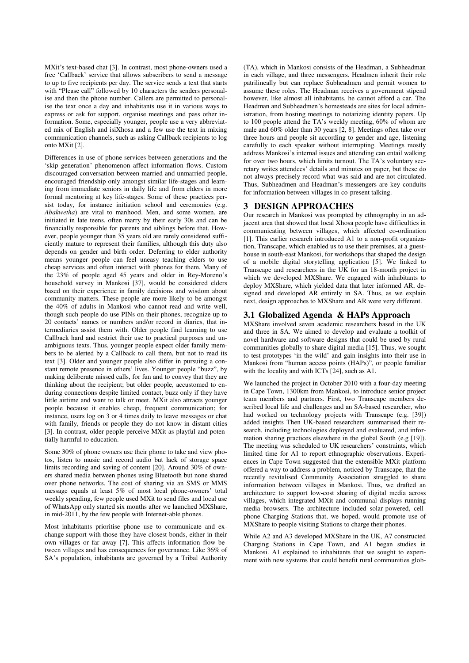MXit's text-based chat [3]. In contrast, most phone-owners used a free 'Callback' service that allows subscribers to send a message to up to five recipients per day. The service sends a text that starts with "Please call" followed by 10 characters the senders personalise and then the phone number. Callers are permitted to personalise the text once a day and inhabitants use it in various ways to express or ask for support, organise meetings and pass other information. Some, especially younger, people use a very abbreviated mix of English and isiXhosa and a few use the text in mixing communication channels, such as asking Callback recipients to log onto MXit [2].

Differences in use of phone services between generations and the 'skip generation' phenomenon affect information flows. Custom discouraged conversation between married and unmarried people, encouraged friendship only amongst similar life-stages and learning from immediate seniors in daily life and from elders in more formal mentoring at key life-stages. Some of these practices persist today, for instance initiation school and ceremonies (e.g. *Abakwetha*) are vital to manhood. Men, and some women, are initiated in late teens, often marry by their early 30s and can be financially responsible for parents and siblings before that. However, people younger than 35 years old are rarely considered sufficiently mature to represent their families, although this duty also depends on gender and birth order. Deferring to elder authority means younger people can feel uneasy teaching elders to use cheap services and often interact with phones for them. Many of the  $23\%$  of people aged 45 years and older in Rey-Moreno's household survey in Mankosi [37], would be considered elders based on their experience in family decisions and wisdom about community matters. These people are more likely to be amongst the 40% of adults in Mankosi who cannot read and write well, though such people do use PINs on their phones, recognize up to 20 contacts' names or numbers and/or record in diaries, that intermediaries assist them with. Older people find learning to use Callback hard and restrict their use to practical purposes and unambiguous texts. Thus, younger people expect older family members to be alerted by a Callback to call them, but not to read its text [3]. Older and younger people also differ in pursuing a constant remote presence in others' lives. Younger people "buzz", by making deliberate missed calls, for fun and to convey that they are thinking about the recipient; but older people, accustomed to enduring connections despite limited contact, buzz only if they have little airtime and want to talk or meet. MXit also attracts younger people because it enables cheap, frequent communication; for instance, users log on 3 or 4 times daily to leave messages or chat with family, friends or people they do not know in distant cities [3]. In contrast, older people perceive MXit as playful and potentially harmful to education.

Some 30% of phone owners use their phone to take and view photos, listen to music and record audio but lack of storage space limits recording and saving of content [20]. Around 30% of owners shared media between phones using Bluetooth but none shared over phone networks. The cost of sharing via an SMS or MMS message equals at least  $5\%$  of most local phone-owners' total weekly spending, few people used MXit to send files and local use of WhatsApp only started six months after we launched MXShare, in mid-2011, by the few people with Internet-able phones.

Most inhabitants prioritise phone use to communicate and exchange support with those they have closest bonds, either in their own villages or far away [7]. This affects information flow between villages and has consequences for governance. Like 36% of SA's population, inhabitants are governed by a Tribal Authority

(TA), which in Mankosi consists of the Headman, a Subheadman in each village, and three messengers. Headmen inherit their role patrilineally but can replace Subheadmen and permit women to assume these roles. The Headman receives a government stipend however, like almost all inhabitants, he cannot afford a car. The Headman and Subheadmen's homesteads are sites for local administration, from hosting meetings to notarizing identity papers. Up to 100 people attend the TA's weekly meeting, 60% of whom are male and 60% older than 30 years [2, 8]. Meetings often take over three hours and people sit according to gender and age, listening carefully to each speaker without interrupting. Meetings mostly address Mankosi's internal issues and attending can entail walking for over two hours, which limits turnout. The TA's voluntary secretary writes attendees' details and minutes on paper, but these do not always precisely record what was said and are not circulated. Thus, Subheadmen and Headman's messengers are key conduits for information between villages in co-present talking.

#### **3 DESIGN APPROACHES**

Our research in Mankosi was prompted by ethnography in an adjacent area that showed that local Xhosa people have difficulties in communicating between villages, which affected co-ordination [1]. This earlier research introduced A1 to a non-profit organization, Transcape, which enabled us to use their premises, at a guesthouse in south-east Mankosi, for workshops that shaped the design of a mobile digital storytelling application [5]. We linked to Transcape and researchers in the UK for an 18-month project in which we developed MXShare. We engaged with inhabitants to deploy MXShare, which yielded data that later informed AR, designed and developed AR entirely in SA. Thus, as we explain next, design approaches to MXShare and AR were very different.

## **3.1 Globalized Agenda & HAPs Approach**

MXShare involved seven academic researchers based in the UK and three in SA. We aimed to develop and evaluate a toolkit of novel hardware and software designs that could be used by rural communities globally to share digital media [15]. Thus, we sought to test prototypes 'in the wild' and gain insights into their use in Mankosi from "human access points (HAPs)", or people familiar with the locality and with ICTs [24], such as A1.

We launched the project in October 2010 with a four-day meeting in Cape Town, 1300km from Mankosi, to introduce senior project team members and partners. First, two Transcape members described local life and challenges and an SA-based researcher, who had worked on technology projects with Transcape (e.g. [39]) added insights Then UK-based researchers summarised their research, including technologies deployed and evaluated, and information sharing practices elsewhere in the global South (e.g [19]). The meeting was scheduled to UK researchers' constraints, which limited time for A1 to report ethnographic observations. Experiences in Cape Town suggested that the extensible MXit platform offered a way to address a problem, noticed by Transcape, that the recently revitalised Community Association struggled to share information between villages in Mankosi. Thus, we drafted an architecture to support low-cost sharing of digital media across villages, which integrated MXit and communal displays running media browsers. The architecture included solar-powered, cellphone Charging Stations that, we hoped, would promote use of MXShare to people visiting Stations to charge their phones.

While A2 and A3 developed MXShare in the UK, A7 constructed Charging Stations in Cape Town, and A1 began studies in Mankosi. A1 explained to inhabitants that we sought to experiment with new systems that could benefit rural communities glob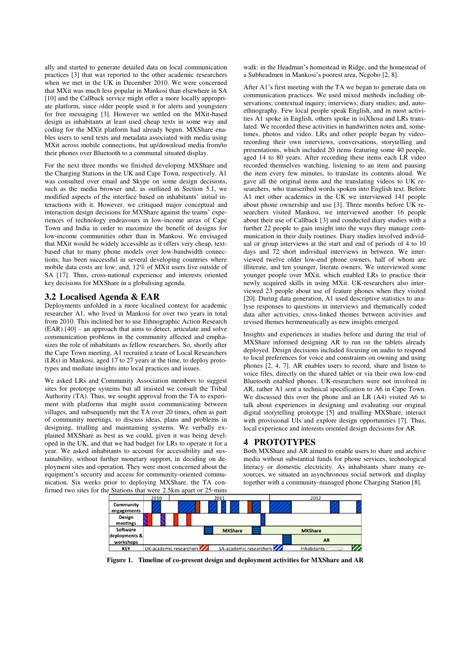ally and started to generate detailed data on local communication practices [3] that was reported to the other academic researchers when we met in the UK in December 2010. We were concerned that MXit was much less popular in Mankosi than elsewhere in SA [10] and the Callback service might offer a more locally appropriate platform, since older people used it for alerts and youngsters for free messaging [3]. However we settled on the MXit-based design as inhabitants at least used cheap texts in some way and coding for the MXit platform had already begun. MXShare enables users to send texts and metadata associated with media using MXit across mobile connections, but up/download media from/to their phones over Bluetooth to a communal situated display.

For the next three months we finished developing MXShare and the Charging Stations in the UK and Cape Town, respectively. A1 was consulted over email and Skype on some design decisions, such as the media browser and, as outlined in Section 5.1, we modified aspects of the interface based on inhabitants' initial interactions with it. However, we critiqued major conceptual and interaction design decisions for MXShare against the teams' experiences of technology endeavours in low-income areas of Cape Town and India in order to maximize the benefit of designs for low-income communities other than in Mankosi. We envisaged that MXit would be widely accessible as it offers very cheap, textbased chat to many phone models over low-bandwidth connections; has been successful in several developing countries where mobile data costs are low; and, 12% of MXit users live outside of SA [17]. Thus, cross-national experience and interests oriented key decisions for MXShare in a globalising agenda.

# **3.2 Localised Agenda & EAR**

Deployments unfolded in a more localised context for academic researcher A1, who lived in Mankosi for over two years in total from 2010. This inclined her to use Ethnographic Action Research  $(EAR) [40] - an approach that aims to detect, articulate and solve$ communication problems in the community affected and emphasizes the role of inhabitants as fellow researchers. So, shortly after the Cape Town meeting, A1 recruited a team of Local Researchers (LRs) in Mankosi, aged 17 to 27 years at the time, to deploy prototypes and mediate insights into local practices and issues.

We asked LRs and Community Association members to suggest sites for prototype systems but all insisted we consult the Tribal Authority (TA). Thus, we sought approval from the TA to experiment with platforms that might assist communicating between villages, and subsequently met the TA over 20 times, often as part of community meetings, to discuss ideas, plans and problems in designing, trialling and maintaining systems. We verbally explained MXShare as best as we could, given it was being developed in the UK, and that we had budget for LRs to operate it for a year. We asked inhabitants to account for accessibility and sustainability, without further monetary support, in deciding on deployment sites and operation. They were most concerned about the equipment's security and access for community-oriented communication. Six weeks prior to deploying MXShare, the TA confirmed two sites for the Stations that were 2.5km apart or 25-mins

walk: in the Headman's homestead in Ridge, and the homestead of a Subheadmen in Mankosi's poorest area, Ncgobo [2, 8].

After A1's first meeting with the TA we began to generate data on communication practices. We used mixed methods including observations; contextual inquiry; interviews; diary studies; and, autoethnography. Few local people speak English, and in most activities A1 spoke in English, others spoke in isiXhosa and LRs translated. We recorded these activities in handwritten notes and, sometimes, photos and video. LRs and other people began by videorecording their own interviews, conversations, storytelling and presentations, which included 20 items featuring some 40 people, aged 14 to 80 years. After recording these items each LR video recorded themselves watching, listening to an item and pausing the item every few minutes, to translate its contents aloud. We gave all the original items and the translating videos to UK researchers, who transcribed words spoken into English text. Before A1 met other academics in the UK we interviewed 141 people about phone ownership and use [3]. Three months before UK researchers visited Mankosi, we interviewed another 16 people about their use of Callback [3] and conducted diary studies with a further 22 people to gain insight into the ways they manage communication in their daily routines. Diary studies involved individual or group interviews at the start and end of periods of 4 to 10 days and 72 short individual interviews in between. We interviewed twelve older low-end phone owners, half of whom are illiterate, and ten younger, literate owners. We interviewed some younger people over MXit, which enabled LRs to practice their newly acquired skills in using MXit. UK-researchers also interviewed 23 people about use of feature phones when they visited [20]. During data generation, A1 used descriptive statistics to analyse responses to questions in interviews and thematically coded data after activities, cross-linked themes between activities and revised themes hermeneutically as new insights emerged.

Insights and experiences in studies before and during the trial of MXShare informed designing AR to run on the tablets already deployed. Design decisions included focusing on audio to respond to local preferences for voice and constraints on owning and using phones [2, 4, 7]. AR enables users to record, share and listen to voice files, directly on the shared tablet or via their own low-end Bluetooth enabled phones. UK-researchers were not involved in AR, rather A1 sent a technical specification to A6 in Cape Town. We discussed this over the phone and an LR (A4) visited A6 to talk about experiences in designing and evaluating our original digital storytelling prototype [5] and trialling MXShare, interact with provisional UIs and explore design opportunities [7]. Thus, local experience and interests oriented design decisions for AR.

#### **4 PROTOTYPES**

Both MXShare and AR aimed to enable users to share and archive media without substantial funds for phone services, technological literacy or domestic electricity. As inhabitants share many resources, we situated an asynchronous social network and display together with a community-managed phone Charging Station [8].



**Figure 1. Timeline of co-present design and deployment activities for MXShare and AR**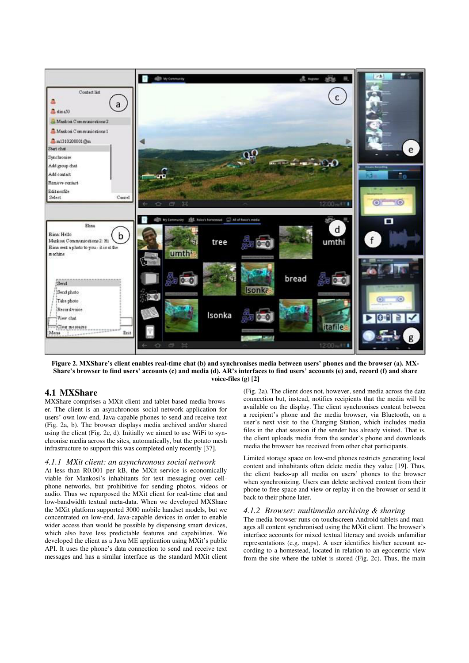

Figure 2. MXShare's client enables real-time chat (b) and synchronises media between users' phones and the browser (a). MX-Share's browser to find users' accounts (c) and media (d). AR's interfaces to find users' accounts (e) and, record (f) and share **voice-files (g) [2]** 

# **4.1 MXShare**

MXShare comprises a MXit client and tablet-based media browser. The client is an asynchronous social network application for users' own low-end, Java-capable phones to send and receive text (Fig. 2a, b). The browser displays media archived and/or shared using the client (Fig. 2c, d). Initially we aimed to use WiFi to synchronise media across the sites, automatically, but the potato mesh infrastructure to support this was completed only recently [37].

#### *4.1.1 MXit client: an asynchronous social network*

At less than R0.001 per kB, the MXit service is economically viable for Mankosi's inhabitants for text messaging over cellphone networks, but prohibitive for sending photos, videos or audio. Thus we repurposed the MXit client for real-time chat and low-bandwidth textual meta-data. When we developed MXShare the MXit platform supported 3000 mobile handset models, but we concentrated on low-end, Java-capable devices in order to enable wider access than would be possible by dispensing smart devices, which also have less predictable features and capabilities. We developed the client as a Java ME application using MXit's public API. It uses the phone's data connection to send and receive text messages and has a similar interface as the standard MXit client

(Fig. 2a). The client does not, however, send media across the data connection but, instead, notifies recipients that the media will be available on the display. The client synchronises content between a recipient's phone and the media browser, via Bluetooth, on a user's next visit to the Charging Station, which includes media files in the chat session if the sender has already visited. That is, the client uploads media from the sender's phone and downloads media the browser has received from other chat participants.

Limited storage space on low-end phones restricts generating local content and inhabitants often delete media they value [19]. Thus, the client backs-up all media on users' phones to the browser when synchronizing. Users can delete archived content from their phone to free space and view or replay it on the browser or send it back to their phone later.

#### *4.1.2 Browser: multimedia archiving & sharing*

The media browser runs on touchscreen Android tablets and manages all content synchronised using the MXit client. The browser's interface accounts for mixed textual literacy and avoids unfamiliar representations (e.g. maps). A user identifies his/her account according to a homestead, located in relation to an egocentric view from the site where the tablet is stored (Fig. 2c). Thus, the main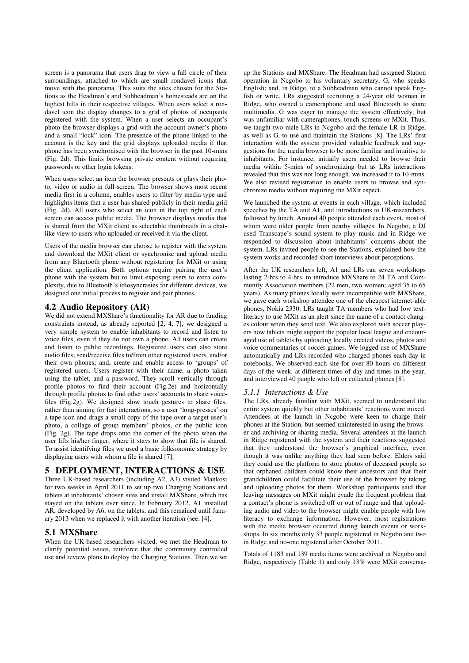screen is a panorama that users drag to view a full circle of their surroundings, attached to which are small rondavel icons that move with the panorama. This suits the sites chosen for the Stations as the Headman's and Subheadman's homesteads are on the highest hills in their respective villages. When users select a rondavel icon the display changes to a grid of photos of occupants registered with the system. When a user selects an occupant's photo the browser displays a grid with the account owner's photo and a small "lock" icon. The presence of the phone linked to the account is the key and the grid displays uploaded media if that phone has been synchronised with the browser in the past 10-mins (Fig. 2d). This limits browsing private content without requiring passwords or other login tokens.

When users select an item the browser presents or plays their photo, video or audio in full-screen. The browser shows most recent media first in a column, enables users to filter by media type and highlights items that a user has shared publicly in their media grid (Fig. 2d). All users who select an icon in the top right of each screen can access public media. The browser displays media that is shared from the MXit client as selectable thumbnails in a chatlike view to users who uploaded or received it via the client.

Users of the media browser can choose to register with the system and download the MXit client or synchronise and upload media from any Bluetooth phone without registering for MXit or using the client application. Both options require pairing the user's phone with the system but to limit exposing users to extra complexity, due to Bluetooth's idiosyncrasies for different devices, we designed one initial process to register and pair phones.

### **4.2 Audio Repository (AR)**

We did not extend MXShare's functionality for AR due to funding constraints instead, as already reported [2, 4, 7], we designed a very simple system to enable inhabitants to record and listen to voice files, even if they do not own a phone. All users can create and listen to public recordings. Registered users can also store audio files; send/receive files to/from other registered users, and/or their own phones; and, create and enable access to 'groups' of registered users. Users register with their name, a photo taken using the tablet, and a password. They scroll vertically through profile photos to find their account (Fig.2e) and horizontally through profile photos to find other users' accounts to share voicefiles (Fig.2g). We designed slow touch gestures to share files, rather than aiming for fast interactions, so a user 'long-presses' on a tape icon and drags a small copy of the tape over a target user's photo, a collage of group members' photos, or the public icon (Fig. 2g). The tape drops onto the corner of the photo when the user lifts his/her finger, where it stays to show that file is shared. To assist identifying files we used a basic folksonomic strategy by displaying users with whom a file is shared [7].

# **5 DEPLOYMENT, INTERACTIONS & USE**

Three UK-based researchers (including A2, A3) visited Mankosi for two weeks in April 2011 to set up two Charging Stations and tablets at inhabitants' chosen sites and install MXShare, which has stayed on the tablets ever since. In February 2012, A1 installed AR, developed by A6, on the tablets, and this remained until January 2013 when we replaced it with another iteration (see: [4].

## **5.1 MXShare**

When the UK-based researchers visited, we met the Headman to clarify potential issues, reinforce that the community controlled use and review plans to deploy the Charging Stations. Then we set

up the Stations and MXShare. The Headman had assigned Station operation in Ncgobo to his voluntary secretary, G, who speaks English; and, in Ridge, to a Subheadman who cannot speak English or write. LRs suggested recruiting a 24-year old woman in Ridge, who owned a cameraphone and used Bluetooth to share multimedia. G was eager to manage the system effectively, but was unfamiliar with cameraphones, touch-screens or MXit. Thus, we taught two male LRs in Ncgobo and the female LR in Ridge, as well as G, to use and maintain the Stations  $[8]$ . The LRs' first interaction with the system provided valuable feedback and suggestions for the media browser to be more familiar and intuitive to inhabitants. For instance, initially users needed to browse their media within 5-mins of synchronizing but as LRs interactions revealed that this was not long enough, we increased it to 10-mins. We also revised registration to enable users to browse and synchronize media without requiring the MXit aspect.

We launched the system at events in each village, which included speeches by the TA and A1, and introductions to UK-researchers, followed by lunch. Around 40 people attended each event, most of whom were older people from nearby villages. In Ncgobo, a DJ used Transcape's sound system to play music and in Ridge we responded to discussion about inhabitants' concerns about the system. LRs invited people to see the Stations, explained how the system works and recorded short interviews about perceptions.

After the UK researchers left, A1 and LRs ran seven workshops lasting 2-hrs to 4-hrs, to introduce MXShare to 24 TA and Community Association members (22 men, two women; aged 35 to 65 years). As many phones locally were incompatible with MXShare, we gave each workshop attendee one of the cheapest internet-able phones, Nokia 2330. LRs taught TA members who had low textliteracy to use MXit as an alert since the name of a contact changes colour when they send text. We also explored with soccer players how tablets might support the popular local league and encouraged use of tablets by uploading locally created videos, photos and voice commentaries of soccer games. We logged use of MXShare automatically and LRs recorded who charged phones each day in notebooks. We observed each site for over 80 hours on different days of the week, at different times of day and times in the year, and interviewed 40 people who left or collected phones [8].

#### *5.1.1 Interactions & Use*

The LRs, already familiar with MXit, seemed to understand the entire system quickly but other inhabitants' reactions were mixed. Attendees at the launch in Ncgobo were keen to charge their phones at the Station, but seemed uninterested in using the browser and archiving or sharing media. Several attendees at the launch in Ridge registered with the system and their reactions suggested that they understood the browser's graphical interface, even though it was unlike anything they had seen before. Elders said they could use the platform to store photos of deceased people so that orphaned children could know their ancestors and that their grandchildren could facilitate their use of the browser by taking and uploading photos for them. Workshop participants said that leaving messages on MXit might evade the frequent problem that a contact's phone is switched off or out of range and that uploading audio and video to the browser might enable people with low literacy to exchange information. However, most registrations with the media browser occurred during launch events or workshops. In six months only 33 people registered in Ncgobo and two in Ridge and no-one registered after October 2011.

Totals of 1183 and 139 media items were archived in Ncgobo and Ridge, respectively (Table 1) and only 13% were MXit conversa-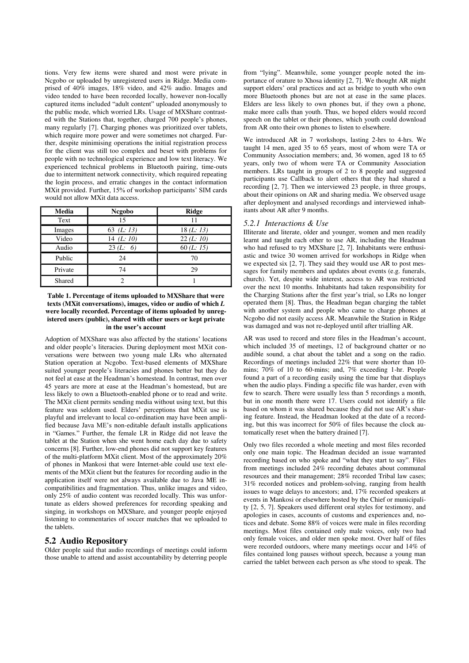tions. Very few items were shared and most were private in Ncgobo or uploaded by unregistered users in Ridge. Media comprised of 40% images, 18% video, and 42% audio. Images and video tended to have been recorded locally, however non-locally captured items included "adult content" uploaded anonymously to the public mode, which worried LRs. Usage of MXShare contrasted with the Stations that, together, charged 700 people's phones, many regularly [7]. Charging phones was prioritized over tablets, which require more power and were sometimes not charged. Further, despite minimising operations the initial registration process for the client was still too complex and beset with problems for people with no technological experience and low text literacy. We experienced technical problems in Bluetooth pairing, time-outs due to intermittent network connectivity, which required repeating the login process, and erratic changes in the contact information MXit provided. Further, 15% of workshop participants' SIM cards would not allow MXit data access.

| Media   | <b>Ncgobo</b> | Ridge        |
|---------|---------------|--------------|
| Text    | 15            | 11           |
| Images  | 63 $(L: 13)$  | 18 (L: 13)   |
| Video   | 14 $(L: 10)$  | 22 (L: 10)   |
| Audio   | 23(L: 6)      | 60 $(L: 15)$ |
| Public  | 24            | 70           |
| Private | 74            | 29           |
| Shared  |               |              |

#### **Table 1. Percentage of items uploaded to MXShare that were texts (MXit conversations), images, video or audio of which** *L* **were locally recorded. Percentage of items uploaded by unregistered users (public), shared with other users or kept private**  in the user's account

Adoption of MXShare was also affected by the stations' locations and older people's literacies. During deployment most MXit conversations were between two young male LRs who alternated Station operation at Ncgobo. Text-based elements of MXShare suited younger people's literacies and phones better but they do not feel at ease at the Headman's homestead. In contrast, men over 45 years are more at ease at the Headman's homestead, but are less likely to own a Bluetooth-enabled phone or to read and write. The MXit client permits sending media without using text, but this feature was seldom used. Elders' perceptions that MXit use is playful and irrelevant to local co-ordination may have been amplified because Java ME's non-editable default installs applications in "Games." Further, the female LR in Ridge did not leave the tablet at the Station when she went home each day due to safety concerns [8]. Further, low-end phones did not support key features of the multi-platform MXit client. Most of the approximately 20% of phones in Mankosi that were Internet-able could use text elements of the MXit client but the features for recording audio in the application itself were not always available due to Java ME incompatibilities and fragmentation. Thus, unlike images and video, only 25% of audio content was recorded locally. This was unfortunate as elders showed preferences for recording speaking and singing, in workshops on MXShare, and younger people enjoyed listening to commentaries of soccer matches that we uploaded to the tablets.

#### **5.2 Audio Repository**

Older people said that audio recordings of meetings could inform those unable to attend and assist accountability by deterring people

from "lying". Meanwhile, some younger people noted the importance of orature to Xhosa identity [2, 7]. We thought AR might support elders' oral practices and act as bridge to youth who own more Bluetooth phones but are not at ease in the same places. Elders are less likely to own phones but, if they own a phone, make more calls than youth. Thus, we hoped elders would record speech on the tablet or their phones, which youth could download from AR onto their own phones to listen to elsewhere.

We introduced AR in 7 workshops, lasting 2-hrs to 4-hrs. We taught 14 men, aged 35 to 65 years, most of whom were TA or Community Association members; and, 36 women, aged 18 to 65 years, only two of whom were TA or Community Association members. LRs taught in groups of 2 to 8 people and suggested participants use Callback to alert others that they had shared a recording [2, 7]. Then we interviewed 23 people, in three groups, about their opinions on AR and sharing media. We observed usage after deployment and analysed recordings and interviewed inhabitants about AR after 9 months.

#### *5.2.1 Interactions & Use*

Illiterate and literate, older and younger, women and men readily learnt and taught each other to use AR, including the Headman who had refused to try MXShare [2, 7]. Inhabitants were enthusiastic and twice 30 women arrived for workshops in Ridge when we expected six [2, 7]. They said they would use AR to post messages for family members and updates about events (e.g. funerals, church). Yet, despite wide interest, access to AR was restricted over the next 10 months. Inhabitants had taken responsibility for the Charging Stations after the first year's trial, so LRs no longer operated them [8]. Thus, the Headman began charging the tablet with another system and people who came to charge phones at Ncgobo did not easily access AR. Meanwhile the Station in Ridge was damaged and was not re-deployed until after trialling AR.

AR was used to record and store files in the Headman's account, which included 35 of meetings, 12 of background chatter or no audible sound, a chat about the tablet and a song on the radio. Recordings of meetings included 22% that were shorter than 10 mins: 70% of 10 to 60-mins; and, 7% exceeding 1-hr. People found a part of a recording easily using the time bar that displays when the audio plays. Finding a specific file was harder, even with few to search. There were usually less than 5 recordings a month, but in one month there were 17. Users could not identify a file based on whom it was shared because they did not use AR's sharing feature. Instead, the Headman looked at the date of a recording, but this was incorrect for 50% of files because the clock automatically reset when the battery drained [7].

Only two files recorded a whole meeting and most files recorded only one main topic. The Headman decided an issue warranted recording based on who spoke and "what they start to say". Files from meetings included 24% recording debates about communal resources and their management; 28% recorded Tribal law cases; 31% recorded notices and problem-solving, ranging from health issues to wage delays to ancestors; and, 17% recorded speakers at events in Mankosi or elsewhere hosted by the Chief or municipality [2, 5, 7]. Speakers used different oral styles for testimony, and apologies in cases, accounts of customs and experiences and, notices and debate. Some 88% of voices were male in files recording meetings. Most files contained only male voices, only two had only female voices, and older men spoke most. Over half of files were recorded outdoors, where many meetings occur and 14% of files contained long pauses without speech, because a young man carried the tablet between each person as s/he stood to speak. The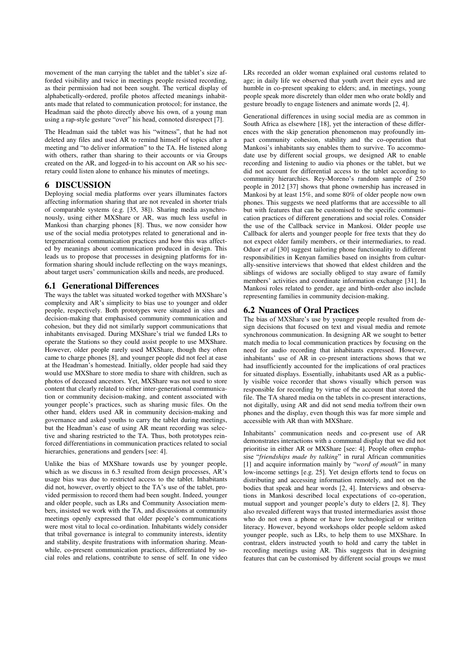movement of the man carrying the tablet and the tablet's size afforded visibility and twice in meetings people resisted recording, as their permission had not been sought. The vertical display of alphabetically-ordered, profile photos affected meanings inhabitants made that related to communication protocol; for instance, the Headman said the photo directly above his own, of a young man using a rap-style gesture "over" his head, connoted disrespect [7].

The Headman said the tablet was his "witness", that he had not deleted any files and used AR to remind himself of topics after a meeting and "to deliver information" to the TA. He listened along with others, rather than sharing to their accounts or via Groups created on the AR, and logged-in to his account on AR so his secretary could listen alone to enhance his minutes of meetings.

## **6 DISCUSSION**

Deploying social media platforms over years illuminates factors affecting information sharing that are not revealed in shorter trials of comparable systems (e.g. [35, 38]). Sharing media asynchronously, using either MXShare or AR, was much less useful in Mankosi than charging phones [8]. Thus, we now consider how use of the social media prototypes related to generational and intergenerational communication practices and how this was affected by meanings about communication produced in design. This leads us to propose that processes in designing platforms for information sharing should include reflecting on the ways meanings, about target users' communication skills and needs, are produced.

#### **6.1 Generational Differences**

The ways the tablet was situated worked together with MXShare's complexity and AR's simplicity to bias use to younger and older people, respectively. Both prototypes were situated in sites and decision-making that emphasised community communication and cohesion, but they did not similarly support communications that inhabitants envisaged. During MXShare's trial we funded LRs to operate the Stations so they could assist people to use MXShare. However, older people rarely used MXShare, though they often came to charge phones [8], and younger people did not feel at ease at the Headman's homestead. Initially, older people had said they would use MXShare to store media to share with children, such as photos of deceased ancestors. Yet, MXShare was not used to store content that clearly related to either inter-generational communication or community decision-making, and content associated with younger people's practices, such as sharing music files. On the other hand, elders used AR in community decision-making and governance and asked youths to carry the tablet during meetings, but the Headman's ease of using AR meant recording was selective and sharing restricted to the TA. Thus, both prototypes reinforced differentiations in communication practices related to social hierarchies, generations and genders [see: 4].

Unlike the bias of MXShare towards use by younger people, which as we discuss in  $6.3$  resulted from design processes,  $AR's$ usage bias was due to restricted access to the tablet. Inhabitants did not, however, overtly object to the TA's use of the tablet, provided permission to record them had been sought. Indeed, younger and older people, such as LRs and Community Association members, insisted we work with the TA, and discussions at community meetings openly expressed that older people's communications were most vital to local co-ordination. Inhabitants widely consider that tribal governance is integral to community interests, identity and stability, despite frustrations with information sharing. Meanwhile, co-present communication practices, differentiated by social roles and relations, contribute to sense of self. In one video

LRs recorded an older woman explained oral customs related to age; in daily life we observed that youth avert their eyes and are humble in co-present speaking to elders; and, in meetings, young people speak more discretely than older men who orate boldly and gesture broadly to engage listeners and animate words [2, 4].

Generational differences in using social media are as common in South Africa as elsewhere [18], yet the interaction of these differences with the skip generation phenomenon may profoundly impact community cohesion, stability and the co-operation that Mankosi's inhabitants say enables them to survive. To accommodate use by different social groups, we designed AR to enable recording and listening to audio via phones or the tablet, but we did not account for differential access to the tablet according to community hierarchies. Rey-Moreno's random sample of 250 people in 2012 [37] shows that phone ownership has increased in Mankosi by at least 15%, and some 80% of older people now own phones. This suggests we need platforms that are accessible to all but with features that can be customised to the specific communication practices of different generations and social roles. Consider the use of the Callback service in Mankosi. Older people use Callback for alerts and younger people for free texts that they do not expect older family members, or their intermediaries, to read. Oduor *et al* [30] suggest tailoring phone functionality to different responsibilities in Kenyan families based on insights from culturally-sensitive interviews that showed that eldest children and the siblings of widows are socially obliged to stay aware of family members' activities and coordinate information exchange [31]. In Mankosi roles related to gender, age and birth-order also include representing families in community decision-making.

#### **6.2 Nuances of Oral Practices**

The bias of MXShare's use by younger people resulted from design decisions that focused on text and visual media and remote synchronous communication. In designing AR we sought to better match media to local communication practices by focusing on the need for audio recording that inhabitants expressed. However, inhabitants' use of AR in co-present interactions shows that we had insufficiently accounted for the implications of oral practices for situated displays. Essentially, inhabitants used AR as a publicly visible voice recorder that shows visually which person was responsible for recording by virtue of the account that stored the file. The TA shared media on the tablets in co-present interactions, not digitally, using AR and did not send media to/from their own phones and the display, even though this was far more simple and accessible with AR than with MXShare.

Inhabitants' communication needs and co-present use of AR demonstrates interactions with a communal display that we did not prioritise in either AR or MXShare [see: 4]. People often emphaise "friendships made by talking" in rural African communities [1] and acquire information mainly by "*word of mouth*" in many low-income settings [e.g. 25]. Yet design efforts tend to focus on distributing and accessing information remotely, and not on the bodies that speak and hear words [2, 4]. Interviews and observations in Mankosi described local expectations of co-operation, mutual support and younger people's duty to elders  $[2, 8]$ . They also revealed different ways that trusted intermediaries assist those who do not own a phone or have low technological or written literacy. However, beyond workshops older people seldom asked younger people, such as LRs, to help them to use MXShare. In contrast, elders instructed youth to hold and carry the tablet in recording meetings using AR. This suggests that in designing features that can be customised by different social groups we must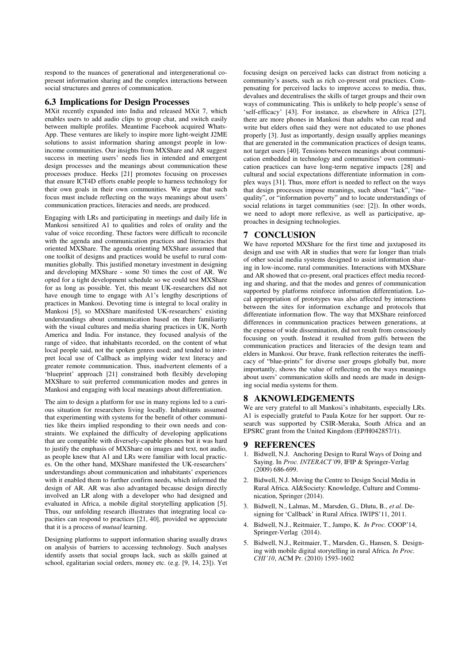respond to the nuances of generational and intergenerational copresent information sharing and the complex interactions between social structures and genres of communication.

#### **6.3 Implications for Design Processes**

MXit recently expanded into India and released MXit 7, which enables users to add audio clips to group chat, and switch easily between multiple profiles. Meantime Facebook acquired Whats-App. These ventures are likely to inspire more light-weight J2ME solutions to assist information sharing amongst people in lowincome communities. Our insights from MXShare and AR suggest success in meeting users' needs lies in intended and emergent design processes and the meanings about communication these processes produce. Heeks [21] promotes focusing on processes that ensure ICT4D efforts enable people to harness technology for their own goals in their own communities. We argue that such focus must include reflecting on the ways meanings about users' communication practices, literacies and needs, are produced.

Engaging with LRs and participating in meetings and daily life in Mankosi sensitized A1 to qualities and roles of orality and the value of voice recording. These factors were difficult to reconcile with the agenda and communication practices and literacies that oriented MXShare. The agenda orienting MXShare assumed that one toolkit of designs and practices would be useful to rural communities globally. This justified monetary investment in designing and developing MXShare - some 50 times the cost of AR. We opted for a tight development schedule so we could test MXShare for as long as possible. Yet, this meant UK-researchers did not have enough time to engage with A1's lengthy descriptions of practices in Mankosi. Devoting time is integral to local orality in Mankosi [5], so MXShare manifested UK-researchers' existing understandings about communication based on their familiarity with the visual cultures and media sharing practices in UK, North America and India. For instance, they focused analysis of the range of video, that inhabitants recorded, on the content of what local people said, not the spoken genres used; and tended to interpret local use of Callback as implying wider text literacy and greater remote communication. Thus, inadvertent elements of a 'blueprint' approach [21] constrained both flexibly developing MXShare to suit preferred communication modes and genres in Mankosi and engaging with local meanings about differentiation.

The aim to design a platform for use in many regions led to a curious situation for researchers living locally. Inhabitants assumed that experimenting with systems for the benefit of other communities like theirs implied responding to their own needs and constraints. We explained the difficulty of developing applications that are compatible with diversely-capable phones but it was hard to justify the emphasis of MXShare on images and text, not audio, as people knew that A1 and LRs were familiar with local practices. On the other hand, MXShare manifested the UK-researchers' understandings about communication and inhabitants' experiences with it enabled them to further confirm needs, which informed the design of AR. AR was also advantaged because design directly involved an LR along with a developer who had designed and evaluated in Africa, a mobile digital storytelling application [5]. Thus, our unfolding research illustrates that integrating local capacities can respond to practices [21, 40], provided we appreciate that it is a process of *mutual* learning.

Designing platforms to support information sharing usually draws on analysis of barriers to accessing technology. Such analyses identify assets that social groups lack, such as skills gained at school, egalitarian social orders, money etc. (e.g. [9, 14, 23]). Yet

focusing design on perceived lacks can distract from noticing a community's assets, such as rich co-present oral practices. Compensating for perceived lacks to improve access to media, thus, devalues and decentralises the skills of target groups and their own ways of communicating. This is unlikely to help people's sense of 'self-efficacy' [43]. For instance, as elsewhere in Africa [27], there are more phones in Mankosi than adults who can read and write but elders often said they were not educated to use phones properly [3]. Just as importantly, design usually applies meanings that are generated in the communication practices of design teams, not target users [40]. Tensions between meanings about communication embedded in technology and communities' own communication practices can have long-term negative impacts [28] and cultural and social expectations differentiate information in complex ways [31]. Thus, more effort is needed to reflect on the ways that design processes impose meanings, such about "lack", "inequality", or "information poverty" and to locate understandings of social relations in target communities (see: [2]). In other words, we need to adopt more reflexive, as well as participative, approaches in designing technologies.

#### **7 CONCLUSION**

We have reported MXShare for the first time and juxtaposed its design and use with AR in studies that were far longer than trials of other social media systems designed to assist information sharing in low-income, rural communities. Interactions with MXShare and AR showed that co-present, oral practices effect media recording and sharing, and that the modes and genres of communication supported by platforms reinforce information differentiation. Local appropriation of prototypes was also affected by interactions between the sites for information exchange and protocols that differentiate information flow. The way that MXShare reinforced differences in communication practices between generations, at the expense of wide dissemination, did not result from consciously focusing on youth. Instead it resulted from gulfs between the communication practices and literacies of the design team and elders in Mankosi. Our brave, frank reflection reiterates the inefficacy of "blue-prints" for diverse user groups globally but, more importantly, shows the value of reflecting on the ways meanings about users' communication skills and needs are made in designing social media systems for them.

# **8 AKNOWLEDGEMENTS**

We are very grateful to all Mankosi's inhabitants, especially LRs. A1 is especially grateful to Paula Kotze for her support. Our research was supported by CSIR-Meraka, South Africa and an EPSRC grant from the United Kingdom (EP/H042857/1).

#### **9 REFERENCES**

- 1. Bidwell, N.J. Anchoring Design to Rural Ways of Doing and Saying. In Proc. INTERACT'09, IFIP & Springer-Verlag (2009) 686-699.
- 2. Bidwell, N.J. Moving the Centre to Design Social Media in Rural Africa. AI&Society: Knowledge, Culture and Communication, Springer (2014).
- 3. Bidwell, N., Lalmas, M., Marsden, G., Dlutu, B., *et al*. Designing for 'Callback' in Rural Africa. IWIPS'11, 2011.
- 4. Bidwell, N.J., Reitmaier, T., Jampo, K. *In Proc.* COOP'14, Springer-Verlag (2014).
- 5. Bidwell, N.J., Reitmaier, T., Marsden, G., Hansen, S. Designing with mobile digital storytelling in rural Africa. *In Proc.*  CHI'10, ACM Pr. (2010) 1593-1602